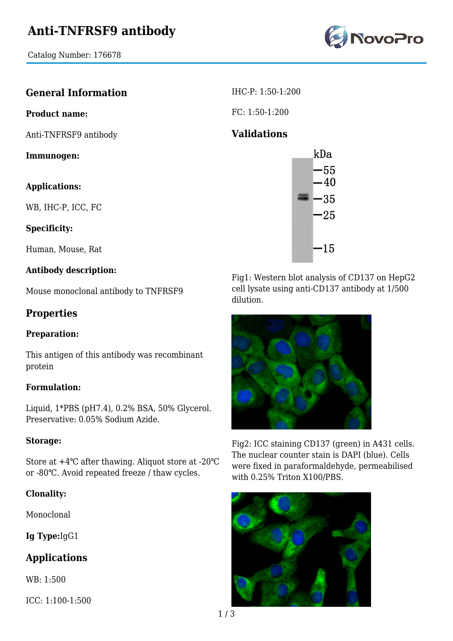Catalog Number: 176678



## **General Information**

#### **Product name:**

Anti-TNFRSF9 antibody

**Immunogen:**

#### **Applications:**

WB, IHC-P, ICC, FC

#### **Specificity:**

Human, Mouse, Rat

### **Antibody description:**

Mouse monoclonal antibody to TNFRSF9

## **Properties**

#### **Preparation:**

This antigen of this antibody was recombinant protein

#### **Formulation:**

Liquid, 1\*PBS (pH7.4), 0.2% BSA, 50% Glycerol. Preservative: 0.05% Sodium Azide.

#### **Storage:**

Store at +4℃ after thawing. Aliquot store at -20℃ or -80℃. Avoid repeated freeze / thaw cycles.

#### **Clonality:**

Monoclonal

**Ig Type:**IgG1

## **Applications**

WB: 1:500

ICC: 1:100-1:500

IHC-P: 1:50-1:200

FC: 1:50-1:200

## **Validations**



Fig1: Western blot analysis of CD137 on HepG2 cell lysate using anti-CD137 antibody at 1/500 dilution.



Fig2: ICC staining CD137 (green) in A431 cells. The nuclear counter stain is DAPI (blue). Cells were fixed in paraformaldehyde, permeabilised with 0.25% Triton X100/PBS.

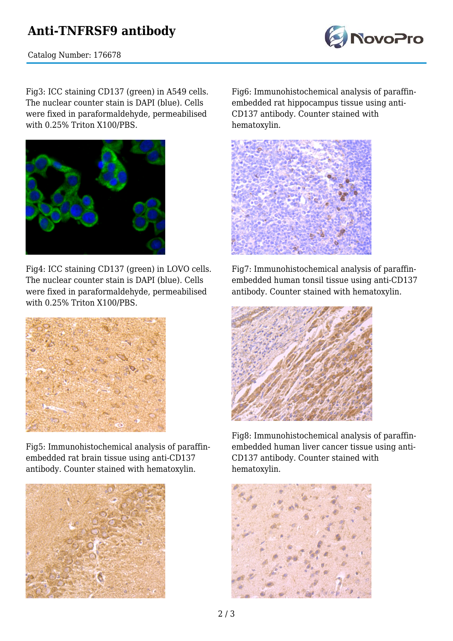# **Anti-TNFRSF9 antibody**



Catalog Number: 176678

Fig3: ICC staining CD137 (green) in A549 cells. The nuclear counter stain is DAPI (blue). Cells were fixed in paraformaldehyde, permeabilised with 0.25% Triton X100/PBS.



Fig4: ICC staining CD137 (green) in LOVO cells. The nuclear counter stain is DAPI (blue). Cells were fixed in paraformaldehyde, permeabilised with 0.25% Triton X100/PBS.



Fig5: Immunohistochemical analysis of paraffinembedded rat brain tissue using anti-CD137 antibody. Counter stained with hematoxylin.



Fig6: Immunohistochemical analysis of paraffinembedded rat hippocampus tissue using anti-CD137 antibody. Counter stained with hematoxylin.



Fig7: Immunohistochemical analysis of paraffinembedded human tonsil tissue using anti-CD137 antibody. Counter stained with hematoxylin.



Fig8: Immunohistochemical analysis of paraffinembedded human liver cancer tissue using anti-CD137 antibody. Counter stained with hematoxylin.